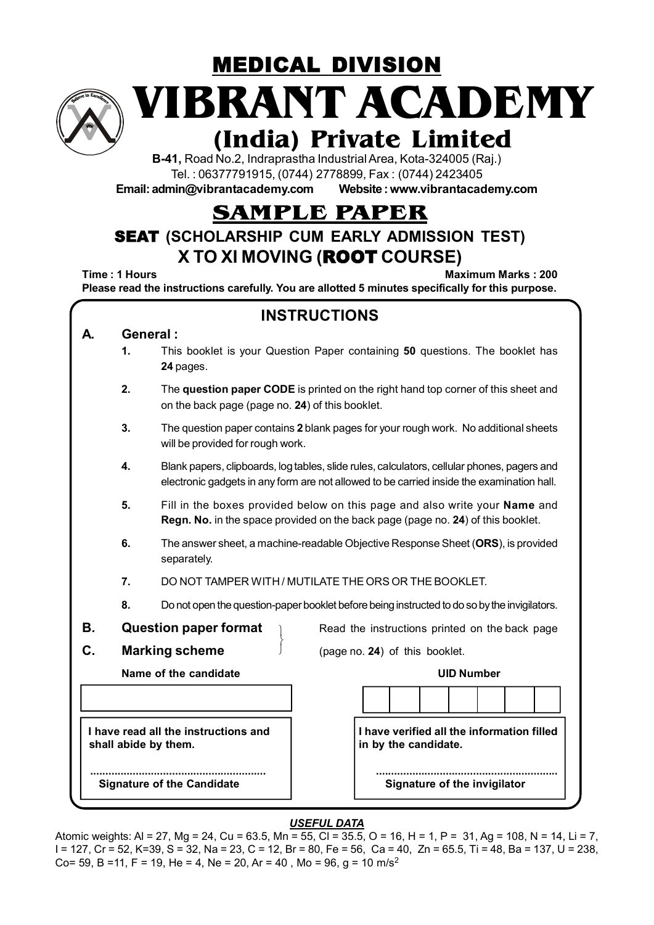

MEDICAL DIVISION **VIBRANT ACADEMY**

# **(India) Private Limited**

**B-41,** Road No.2, Indraprastha Industrial Area, Kota-324005 (Raj.) Tel. : 06377791915, (0744) 2778899, Fax : (0744) 2423405

**Email: admin@vibrantacademy.com Website : www.vibrantacademy.com**

## **SAMPLE PAPER**

### SEAT **(SCHOLARSHIP CUM EARLY ADMISSION TEST) X TO XI MOVING (**ROOT **COURSE)**

**Time : 1 Hours Maximum Marks : 200 Please read the instructions carefully. You are allotted 5 minutes specifically for this purpose.**

| <b>INSTRUCTIONS</b> |                                                                                                                                                                                                |                                                                                                                                                               |  |  |  |  |  |  |  |  |  |
|---------------------|------------------------------------------------------------------------------------------------------------------------------------------------------------------------------------------------|---------------------------------------------------------------------------------------------------------------------------------------------------------------|--|--|--|--|--|--|--|--|--|
| А.                  |                                                                                                                                                                                                | General:                                                                                                                                                      |  |  |  |  |  |  |  |  |  |
|                     | 1.                                                                                                                                                                                             | This booklet is your Question Paper containing 50 questions. The booklet has<br>24 pages.                                                                     |  |  |  |  |  |  |  |  |  |
|                     | 2.                                                                                                                                                                                             | The question paper CODE is printed on the right hand top corner of this sheet and<br>on the back page (page no. 24) of this booklet.                          |  |  |  |  |  |  |  |  |  |
|                     | 3.                                                                                                                                                                                             | The question paper contains 2 blank pages for your rough work. No additional sheets<br>will be provided for rough work.                                       |  |  |  |  |  |  |  |  |  |
|                     | 4.<br>Blank papers, clipboards, log tables, slide rules, calculators, cellular phones, pagers and<br>electronic gadgets in any form are not allowed to be carried inside the examination hall. |                                                                                                                                                               |  |  |  |  |  |  |  |  |  |
|                     | 5.                                                                                                                                                                                             | Fill in the boxes provided below on this page and also write your Name and<br>Regn. No. in the space provided on the back page (page no. 24) of this booklet. |  |  |  |  |  |  |  |  |  |
|                     | 6.                                                                                                                                                                                             | The answer sheet, a machine-readable Objective Response Sheet (ORS), is provided<br>separately.                                                               |  |  |  |  |  |  |  |  |  |
|                     | 7.                                                                                                                                                                                             | DO NOT TAMPER WITH / MUTILATE THE ORS OR THE BOOKLET.                                                                                                         |  |  |  |  |  |  |  |  |  |
|                     | 8.                                                                                                                                                                                             | Do not open the question-paper booklet before being instructed to do so by the invigilators.                                                                  |  |  |  |  |  |  |  |  |  |
| В.                  |                                                                                                                                                                                                | <b>Question paper format</b><br>Read the instructions printed on the back page                                                                                |  |  |  |  |  |  |  |  |  |
| C.                  |                                                                                                                                                                                                | <b>Marking scheme</b><br>(page no. 24) of this booklet.                                                                                                       |  |  |  |  |  |  |  |  |  |
|                     |                                                                                                                                                                                                | Name of the candidate<br><b>UID Number</b>                                                                                                                    |  |  |  |  |  |  |  |  |  |
|                     |                                                                                                                                                                                                |                                                                                                                                                               |  |  |  |  |  |  |  |  |  |
|                     |                                                                                                                                                                                                | I have read all the instructions and<br>I have verified all the information filled<br>shall abide by them.<br>in by the candidate.                            |  |  |  |  |  |  |  |  |  |
|                     |                                                                                                                                                                                                | <b>Signature of the Candidate</b><br>Signature of the invigilator                                                                                             |  |  |  |  |  |  |  |  |  |

#### *USEFUL DATA*

Atomic weights: Al = 27, Mg = 24, Cu = 63.5, Mn = 55, Cl = 35.5, O = 16, H = 1, P = 31, Ag = 108, N = 14, Li = 7, I = 127, Cr = 52, K=39, S = 32, Na = 23, C = 12, Br = 80, Fe = 56, Ca = 40, Zn = 65.5, Ti = 48, Ba = 137, U = 238, Co= 59, B =11, F = 19, He = 4, Ne = 20, Ar = 40, Mo = 96, q = 10 m/s<sup>2</sup>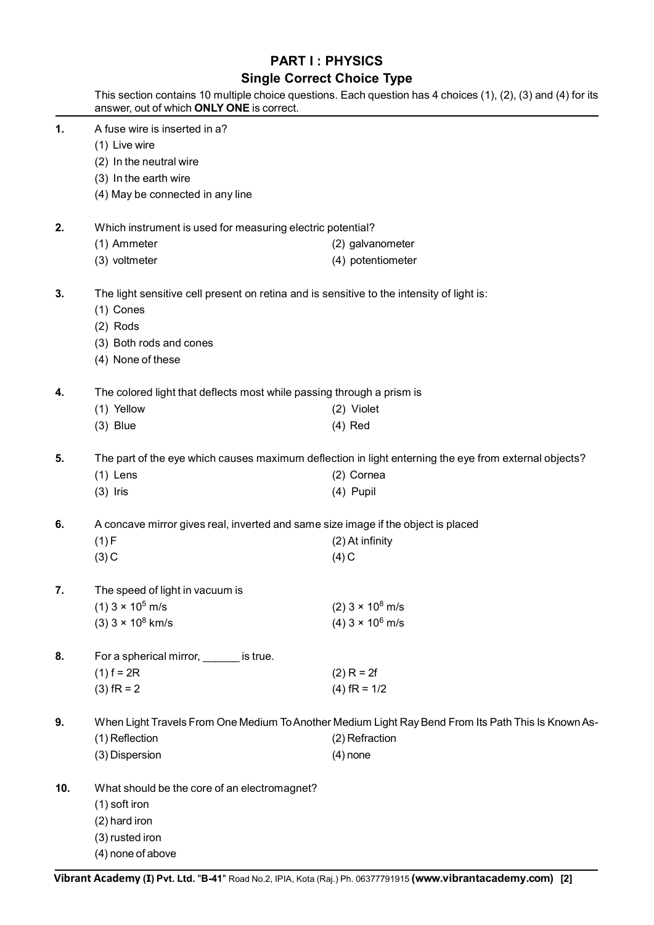#### **PART I : PHYSICS**

#### **Single Correct Choice Type**

|     | answer, out of which ONLY ONE is correct.                                                             | This section contains 10 multiple choice questions. Each question has 4 choices (1), (2), (3) and (4) for its |  |  |  |  |  |  |  |  |
|-----|-------------------------------------------------------------------------------------------------------|---------------------------------------------------------------------------------------------------------------|--|--|--|--|--|--|--|--|
| 1.  | A fuse wire is inserted in a?                                                                         |                                                                                                               |  |  |  |  |  |  |  |  |
|     | (1) Live wire                                                                                         |                                                                                                               |  |  |  |  |  |  |  |  |
|     | (2) In the neutral wire                                                                               |                                                                                                               |  |  |  |  |  |  |  |  |
|     | (3) In the earth wire                                                                                 |                                                                                                               |  |  |  |  |  |  |  |  |
|     | (4) May be connected in any line                                                                      |                                                                                                               |  |  |  |  |  |  |  |  |
| 2.  | Which instrument is used for measuring electric potential?                                            |                                                                                                               |  |  |  |  |  |  |  |  |
|     | (1) Ammeter                                                                                           | (2) galvanometer                                                                                              |  |  |  |  |  |  |  |  |
|     | (3) voltmeter                                                                                         | (4) potentiometer                                                                                             |  |  |  |  |  |  |  |  |
| 3.  |                                                                                                       | The light sensitive cell present on retina and is sensitive to the intensity of light is:                     |  |  |  |  |  |  |  |  |
|     | $(1)$ Cones                                                                                           |                                                                                                               |  |  |  |  |  |  |  |  |
|     | $(2)$ Rods                                                                                            |                                                                                                               |  |  |  |  |  |  |  |  |
|     | (3) Both rods and cones                                                                               |                                                                                                               |  |  |  |  |  |  |  |  |
|     | (4) None of these                                                                                     |                                                                                                               |  |  |  |  |  |  |  |  |
| 4.  | The colored light that deflects most while passing through a prism is                                 |                                                                                                               |  |  |  |  |  |  |  |  |
|     | (1) Yellow                                                                                            | (2) Violet                                                                                                    |  |  |  |  |  |  |  |  |
|     | $(3)$ Blue                                                                                            | $(4)$ Red                                                                                                     |  |  |  |  |  |  |  |  |
| 5.  | The part of the eye which causes maximum deflection in light enterning the eye from external objects? |                                                                                                               |  |  |  |  |  |  |  |  |
|     | $(1)$ Lens                                                                                            | (2) Cornea                                                                                                    |  |  |  |  |  |  |  |  |
|     | $(3)$ Iris                                                                                            | $(4)$ Pupil                                                                                                   |  |  |  |  |  |  |  |  |
| 6.  | A concave mirror gives real, inverted and same size image if the object is placed                     |                                                                                                               |  |  |  |  |  |  |  |  |
|     | (1) F                                                                                                 | (2) At infinity                                                                                               |  |  |  |  |  |  |  |  |
|     | $(3)$ C                                                                                               | $(4)$ C                                                                                                       |  |  |  |  |  |  |  |  |
| 7.  | The speed of light in vacuum is                                                                       |                                                                                                               |  |  |  |  |  |  |  |  |
|     | $(1)$ 3 × 10 <sup>5</sup> m/s                                                                         | $(2)$ 3 × 10 <sup>8</sup> m/s                                                                                 |  |  |  |  |  |  |  |  |
|     | $(3)$ 3 × 10 <sup>8</sup> km/s                                                                        | $(4)$ 3 × 10 <sup>6</sup> m/s                                                                                 |  |  |  |  |  |  |  |  |
| 8.  | For a spherical mirror, _______ is true.                                                              |                                                                                                               |  |  |  |  |  |  |  |  |
|     | $(1) f = 2R$                                                                                          | $(2) R = 2f$                                                                                                  |  |  |  |  |  |  |  |  |
|     | $(3)$ fR = 2                                                                                          | $(4)$ fR = 1/2                                                                                                |  |  |  |  |  |  |  |  |
| 9.  | When Light Travels From One Medium To Another Medium Light Ray Bend From Its Path This Is Known As-   |                                                                                                               |  |  |  |  |  |  |  |  |
|     | (1) Reflection                                                                                        | (2) Refraction                                                                                                |  |  |  |  |  |  |  |  |
|     | (3) Dispersion                                                                                        | $(4)$ none                                                                                                    |  |  |  |  |  |  |  |  |
| 10. | What should be the core of an electromagnet?                                                          |                                                                                                               |  |  |  |  |  |  |  |  |
|     | (1) soft iron                                                                                         |                                                                                                               |  |  |  |  |  |  |  |  |
|     | (2) hard iron                                                                                         |                                                                                                               |  |  |  |  |  |  |  |  |
|     | (3) rusted iron                                                                                       |                                                                                                               |  |  |  |  |  |  |  |  |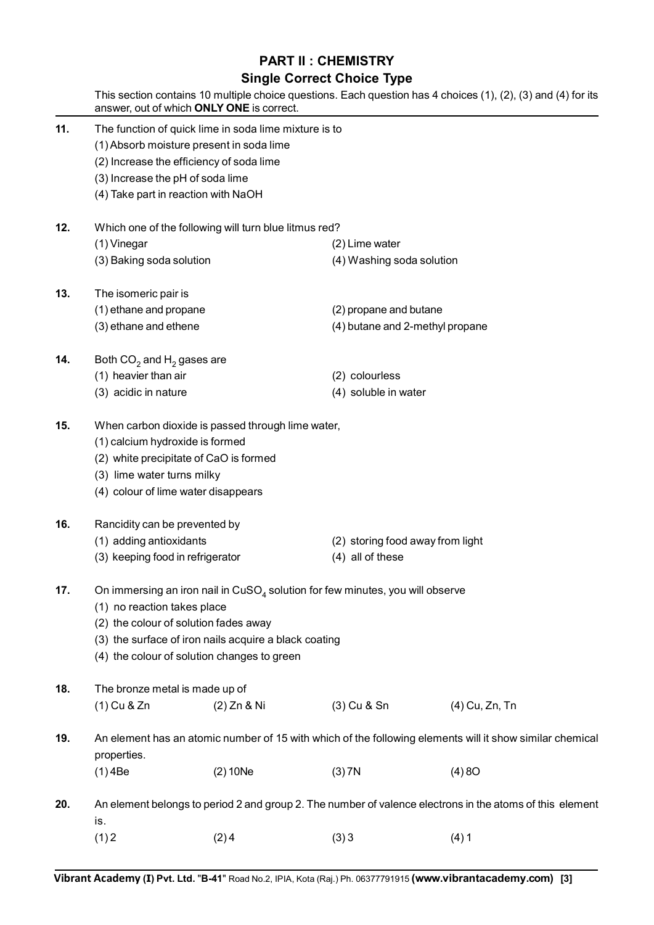#### **PART II : CHEMISTRY**

#### **Single Correct Choice Type**

This section contains 10 multiple choice questions. Each question has 4 choices (1), (2), (3) and (4) for its answer, out of which **ONLY ONE** is correct. **11.** The function of quick lime in soda lime mixture is to (1) Absorb moisture present in soda lime (2) Increase the efficiency of soda lime (3) Increase the pH of soda lime (4) Take part in reaction with NaOH **12.** Which one of the following will turn blue litmus red? (1) Vinegar (2) Lime water (3) Baking soda solution (4) Washing soda solution **13.** The isomeric pair is (1) ethane and propane (2) propane and butane (3) ethane and ethene (3) at  $(4)$  butane and 2-methyl propane **14.** Both  $CO<sub>2</sub>$  and  $H<sub>2</sub>$  gases are (1) heavier than air (2) colourless (3) acidic in nature (4) soluble in water **15.** When carbon dioxide is passed through lime water, (1) calcium hydroxide is formed (2) white precipitate of CaO is formed (3) lime water turns milky (4) colour of lime water disappears **16.** Rancidity can be prevented by (1) adding antioxidants (2) storing food away from light (3) keeping food in refrigerator (4) all of these **17.** On immersing an iron nail in CuSO<sub>4</sub> solution for few minutes, you will observe (1) no reaction takes place (2) the colour of solution fades away (3) the surface of iron nails acquire a black coating (4) the colour of solution changes to green **18.** The bronze metal is made up of (1) Cu & Zn (2) Zn & Ni (3) Cu & Sn (4) Cu, Zn, Tn **19.** An element has an atomic number of 15 with which of the following elements will it show similar chemical properties. (1) 4Be (2) 10Ne (3) 7N (4) 8O **20.** An element belongs to period 2 and group 2. The number of valence electrons in the atoms of this element is.  $(1) 2$   $(2) 4$   $(3) 3$   $(4) 1$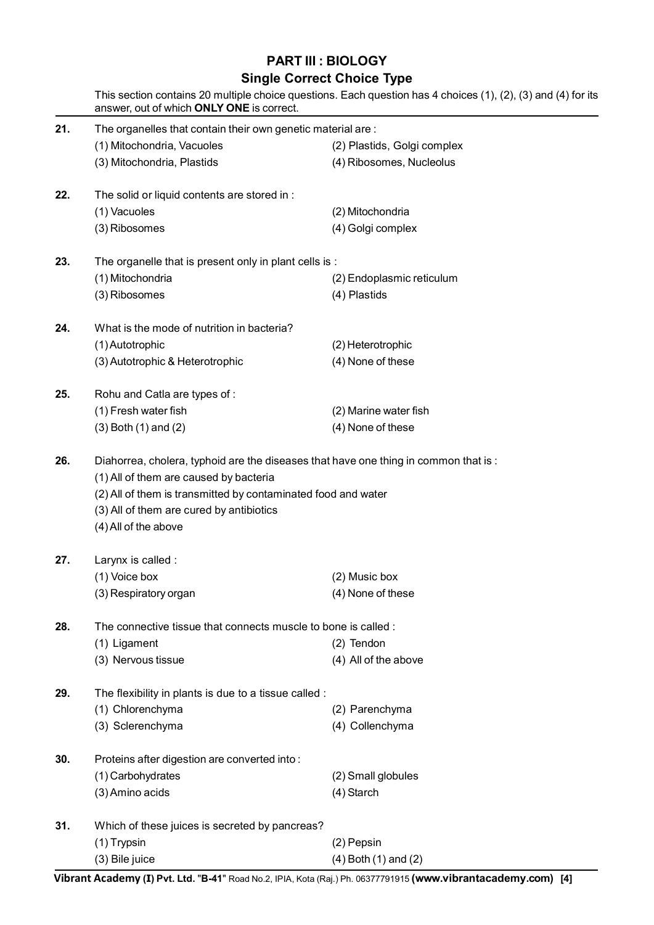### **PART III : BIOLOGY**

# **Single Correct Choice Type**<br>multiple choice questions Each question has

|     | answer, out of which ONLY ONE is correct.                                                                                                                                                                                                                          | Single Correct Choice Type<br>This section contains 20 multiple choice questions. Each question has 4 choices (1), (2), (3) and (4) for its |
|-----|--------------------------------------------------------------------------------------------------------------------------------------------------------------------------------------------------------------------------------------------------------------------|---------------------------------------------------------------------------------------------------------------------------------------------|
| 21. | The organelles that contain their own genetic material are:                                                                                                                                                                                                        |                                                                                                                                             |
|     | (1) Mitochondria, Vacuoles                                                                                                                                                                                                                                         | (2) Plastids, Golgi complex                                                                                                                 |
|     | (3) Mitochondria, Plastids                                                                                                                                                                                                                                         | (4) Ribosomes, Nucleolus                                                                                                                    |
| 22. | The solid or liquid contents are stored in :                                                                                                                                                                                                                       |                                                                                                                                             |
|     | (1) Vacuoles                                                                                                                                                                                                                                                       | (2) Mitochondria                                                                                                                            |
|     | (3) Ribosomes                                                                                                                                                                                                                                                      | (4) Golgi complex                                                                                                                           |
| 23. | The organelle that is present only in plant cells is :                                                                                                                                                                                                             |                                                                                                                                             |
|     | (1) Mitochondria                                                                                                                                                                                                                                                   | (2) Endoplasmic reticulum                                                                                                                   |
|     | (3) Ribosomes                                                                                                                                                                                                                                                      | (4) Plastids                                                                                                                                |
| 24. | What is the mode of nutrition in bacteria?                                                                                                                                                                                                                         |                                                                                                                                             |
|     | (1) Autotrophic                                                                                                                                                                                                                                                    | (2) Heterotrophic                                                                                                                           |
|     | (3) Autotrophic & Heterotrophic                                                                                                                                                                                                                                    | (4) None of these                                                                                                                           |
| 25. | Rohu and Catla are types of:                                                                                                                                                                                                                                       |                                                                                                                                             |
|     | (1) Fresh water fish                                                                                                                                                                                                                                               | (2) Marine water fish                                                                                                                       |
|     | $(3)$ Both $(1)$ and $(2)$                                                                                                                                                                                                                                         | (4) None of these                                                                                                                           |
| 26. | Diahorrea, cholera, typhoid are the diseases that have one thing in common that is:<br>(1) All of them are caused by bacteria<br>(2) All of them is transmitted by contaminated food and water<br>(3) All of them are cured by antibiotics<br>(4) All of the above |                                                                                                                                             |
| 27. | Larynx is called :                                                                                                                                                                                                                                                 |                                                                                                                                             |
|     | (1) Voice box                                                                                                                                                                                                                                                      | (2) Music box                                                                                                                               |
|     | (3) Respiratory organ                                                                                                                                                                                                                                              | (4) None of these                                                                                                                           |
| 28. | The connective tissue that connects muscle to bone is called:                                                                                                                                                                                                      |                                                                                                                                             |
|     | (1) Ligament                                                                                                                                                                                                                                                       | (2) Tendon                                                                                                                                  |
|     | (3) Nervous tissue                                                                                                                                                                                                                                                 | (4) All of the above                                                                                                                        |
| 29. | The flexibility in plants is due to a tissue called :                                                                                                                                                                                                              |                                                                                                                                             |
|     | (1) Chlorenchyma                                                                                                                                                                                                                                                   | (2) Parenchyma                                                                                                                              |
|     | (3) Sclerenchyma                                                                                                                                                                                                                                                   | (4) Collenchyma                                                                                                                             |
| 30. | Proteins after digestion are converted into:                                                                                                                                                                                                                       |                                                                                                                                             |
|     | (1) Carbohydrates                                                                                                                                                                                                                                                  | (2) Small globules                                                                                                                          |
|     | (3) Amino acids                                                                                                                                                                                                                                                    | (4) Starch                                                                                                                                  |
| 31. | Which of these juices is secreted by pancreas?                                                                                                                                                                                                                     |                                                                                                                                             |
|     | (1) Trypsin                                                                                                                                                                                                                                                        | (2) Pepsin                                                                                                                                  |
|     | (3) Bile juice                                                                                                                                                                                                                                                     | $(4)$ Both $(1)$ and $(2)$                                                                                                                  |

**Vibrant Academy (I) Pvt. Ltd.** "**B-41**" Road No.2, IPIA, Kota (Raj.) Ph. 06377791915 **(www.vibrantacademy.com) [4]**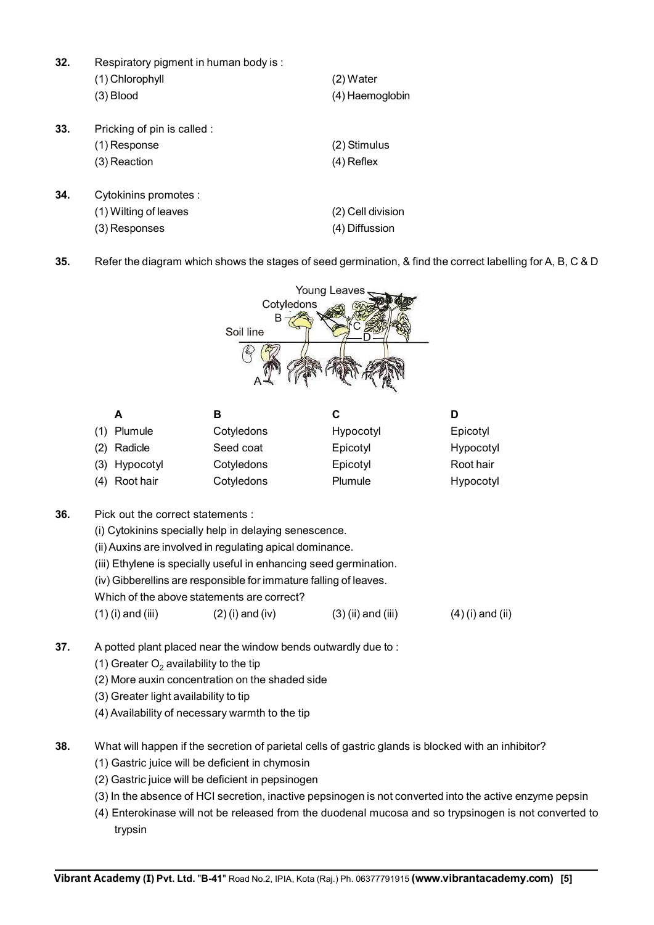**32.** Respiratory pigment in human body is : (1) Chlorophyll (2) Water (3) Blood (4) Haemoglobin **33.** Pricking of pin is called : (1) Response (2) Stimulus (3) Reaction (4) Reflex **34.** Cytokinins promotes : (1) Wilting of leaves (2) Cell division

(3) Responses (4) Diffussion

**35.** Refer the diagram which shows the stages of seed germination, & find the correct labelling for A, B, C & D



|     | A             | в          | С         | D         |
|-----|---------------|------------|-----------|-----------|
|     | (1) Plumule   | Cotyledons | Hypocotyl | Epicotyl  |
| (2) | Radicle       | Seed coat  | Epicotyl  | Hypocotyl |
|     | (3) Hypocotyl | Cotyledons | Epicotyl  | Root hair |
|     | (4) Root hair | Cotyledons | Plumule   | Hypocotyl |

- **36.** Pick out the correct statements :
	- (i) Cytokinins specially help in delaying senescence.
	- (ii) Auxins are involved in regulating apical dominance.
	- (iii) Ethylene is specially useful in enhancing seed germination.
	- (iv) Gibberellins are responsible for immature falling of leaves.
	- Which of the above statements are correct?
	- (1) (i) and (iii) (2) (i) and (iv) (3) (ii) and (iii) (4) (i) and (iii)
- **37.** A potted plant placed near the window bends outwardly due to :
	- (1) Greater  $O<sub>2</sub>$  availability to the tip
	- (2) More auxin concentration on the shaded side
	- (3) Greater light availability to tip
	- (4) Availability of necessary warmth to the tip
- **38.** What will happen if the secretion of parietal cells of gastric glands is blocked with an inhibitor?
	- (1) Gastric juice will be deficient in chymosin
	- (2) Gastric juice will be deficient in pepsinogen
	- (3) In the absence of HCI secretion, inactive pepsinogen is not converted into the active enzyme pepsin
	- (4) Enterokinase will not be released from the duodenal mucosa and so trypsinogen is not converted to trypsin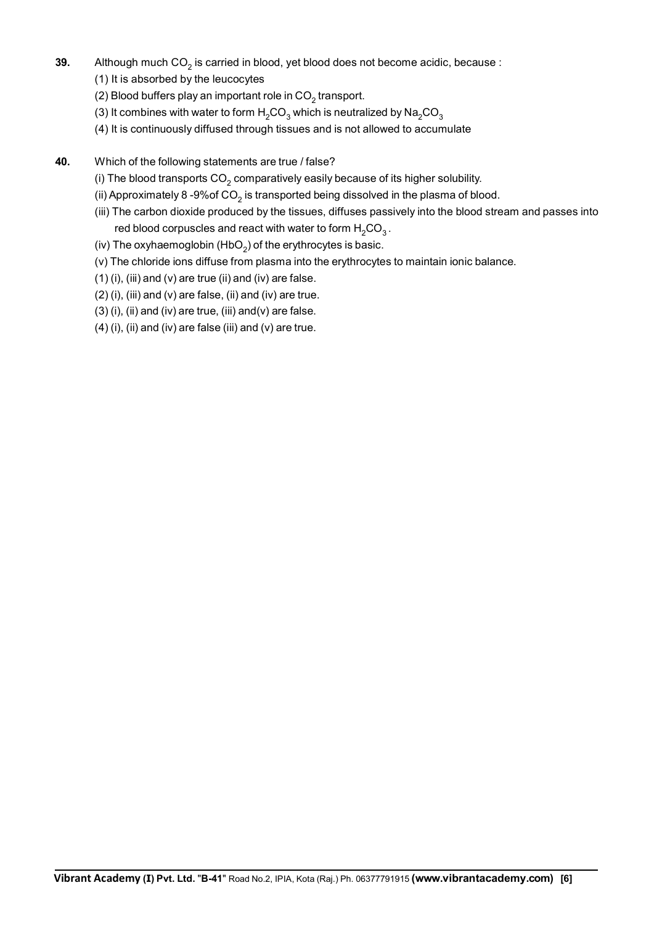- **39.** Although much  $CO<sub>2</sub>$  is carried in blood, yet blood does not become acidic, because :
	- (1) It is absorbed by the leucocytes
	- (2) Blood buffers play an important role in  $CO<sub>2</sub>$  transport.
	- (3) It combines with water to form  $H_2CO_3$  which is neutralized by  $Na_2CO_3$
	- (4) It is continuously diffused through tissues and is not allowed to accumulate
- **40.** Which of the following statements are true / false?
	- (i) The blood transports  $CO<sub>2</sub>$  comparatively easily because of its higher solubility.
	- (ii) Approximately 8-9% of  $CO<sub>2</sub>$  is transported being dissolved in the plasma of blood.
	- (iii) The carbon dioxide produced by the tissues, diffuses passively into the blood stream and passes into red blood corpuscles and react with water to form  $H_2CO_3$ .
	- (iv) The oxyhaemoglobin  $(HbO<sub>2</sub>)$  of the erythrocytes is basic.
	- (v) The chloride ions diffuse from plasma into the erythrocytes to maintain ionic balance.
	- $(1)$  (i), (iii) and (v) are true (ii) and (iv) are false.
	- $(2)$  (i), (iii) and (v) are false, (ii) and (iv) are true.
	- $(3)$  (i), (ii) and (iv) are true, (iii) and(v) are false.
	- (4) (i), (ii) and (iv) are false (iii) and (v) are true.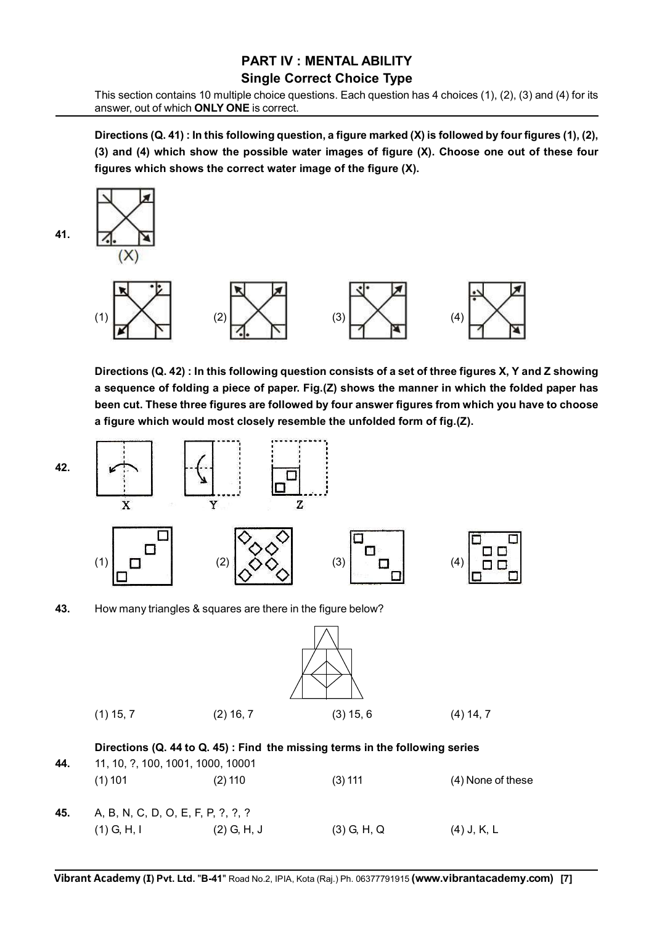#### **PART IV : MENTAL ABILITY Single Correct Choice Type**

This section contains 10 multiple choice questions. Each question has 4 choices (1), (2), (3) and (4) for its answer, out of which **ONLY ONE** is correct.

**Directions (Q. 41) : In this following question, a figure marked (X) is followed by four figures (1), (2), (3) and (4) which show the possible water images of figure (X). Choose one out of these four figures which shows the correct water image of the figure (X).**



**Directions (Q. 42) : In this following question consists of a set of three figures X, Y and Z showing a sequence of folding a piece of paper. Fig.(Z) shows the manner in which the folded paper has been cut. These three figures are followed by four answer figures from which you have to choose a figure which would most closely resemble the unfolded form of fig.(Z).**



**43.** How many triangles & squares are there in the figure below?

**42.**

| $(1)$ 15, 7 | $(2)$ 16, 7 | $(3)$ 15, 6 | $(4)$ 14, 7 |
|-------------|-------------|-------------|-------------|

#### **Directions (Q. 44 to Q. 45) : Find the missing terms in the following series**

| 44. | 11, 10, ?, 100, 1001, 1000, 10001  |               |               |                     |  |  |  |  |  |
|-----|------------------------------------|---------------|---------------|---------------------|--|--|--|--|--|
|     | $(1)$ 101                          | $(2)$ 110     | $(3)$ 111     | $(4)$ None of these |  |  |  |  |  |
| 45. | A, B, N, C, D, O, E, F, P, ?, ?, ? |               |               |                     |  |  |  |  |  |
|     | $(1)$ G, H, I                      | $(2)$ G, H, J | $(3)$ G, H, Q | $(4)$ J, K, L       |  |  |  |  |  |